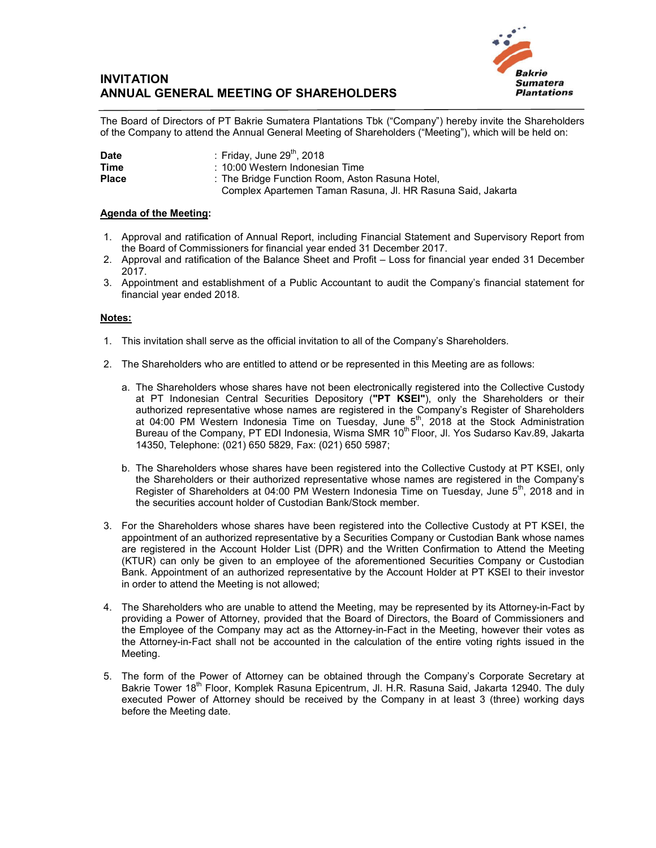## **INVITATION ANNUAL GENERAL MEETING OF SHAREHOLDERS**



The Board of Directors of PT Bakrie Sumatera Plantations Tbk ("Company") hereby invite the Shareholders of the Company to attend the Annual General Meeting of Shareholders ("Meeting"), which will be held on:

| <b>Date</b>  | : Friday, June $29^{th}$ , 2018                             |
|--------------|-------------------------------------------------------------|
| Time         | : 10:00 Western Indonesian Time                             |
| <b>Place</b> | : The Bridge Function Room, Aston Rasuna Hotel,             |
|              | Complex Apartemen Taman Rasuna, Jl. HR Rasuna Said, Jakarta |

## **Agenda of the Meeting:**

- 1. Approval and ratification of Annual Report, including Financial Statement and Supervisory Report from the Board of Commissioners for financial year ended 31 December 2017.
- 2. Approval and ratification of the Balance Sheet and Profit Loss for financial year ended 31 December 2017.
- 3. Appointment and establishment of a Public Accountant to audit the Company's financial statement for financial year ended 2018.

## **Notes:**

- 1. This invitation shall serve as the official invitation to all of the Company's Shareholders.
- 2. The Shareholders who are entitled to attend or be represented in this Meeting are as follows:
	- a. The Shareholders whose shares have not been electronically registered into the Collective Custody at PT Indonesian Central Securities Depository (**"PT KSEI"**), only the Shareholders or their authorized representative whose names are registered in the Company's Register of Shareholders at 04:00 PM Western Indonesia Time on Tuesday, June  $5<sup>th</sup>$ , 2018 at the Stock Administration Bureau of the Company, PT EDI Indonesia, Wisma SMR 10<sup>th</sup> Floor, Jl. Yos Sudarso Kav.89, Jakarta 14350, Telephone: (021) 650 5829, Fax: (021) 650 5987;
	- b. The Shareholders whose shares have been registered into the Collective Custody at PT KSEI, only the Shareholders or their authorized representative whose names are registered in the Company's Register of Shareholders at 04:00 PM Western Indonesia Time on Tuesday, June  $5<sup>th</sup>$ , 2018 and in the securities account holder of Custodian Bank/Stock member.
- 3. For the Shareholders whose shares have been registered into the Collective Custody at PT KSEI, the appointment of an authorized representative by a Securities Company or Custodian Bank whose names are registered in the Account Holder List (DPR) and the Written Confirmation to Attend the Meeting (KTUR) can only be given to an employee of the aforementioned Securities Company or Custodian Bank. Appointment of an authorized representative by the Account Holder at PT KSEI to their investor in order to attend the Meeting is not allowed;
- 4. The Shareholders who are unable to attend the Meeting, may be represented by its Attorney-in-Fact by providing a Power of Attorney, provided that the Board of Directors, the Board of Commissioners and the Employee of the Company may act as the Attorney-in-Fact in the Meeting, however their votes as the Attorney-in-Fact shall not be accounted in the calculation of the entire voting rights issued in the Meeting.
- 5. The form of the Power of Attorney can be obtained through the Company's Corporate Secretary at Bakrie Tower 18<sup>th</sup> Floor, Komplek Rasuna Epicentrum, Jl. H.R. Rasuna Said, Jakarta 12940. The duly executed Power of Attorney should be received by the Company in at least 3 (three) working days before the Meeting date.